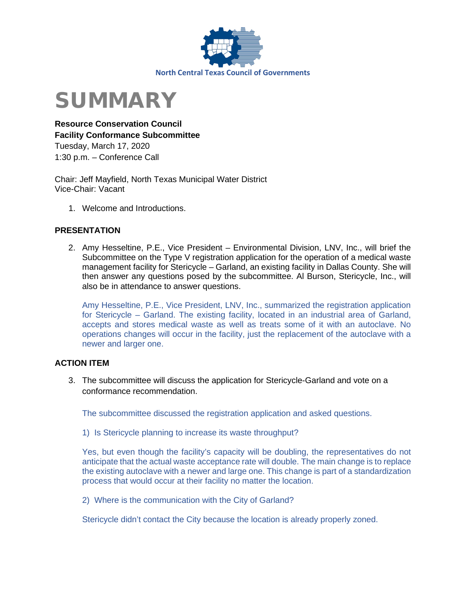



**Resource Conservation Council Facility Conformance Subcommittee**  Tuesday, March 17, 2020 1:30 p.m. – Conference Call

Chair: Jeff Mayfield, North Texas Municipal Water District Vice-Chair: Vacant

1. Welcome and Introductions.

# **PRESENTATION**

2. Amy Hesseltine, P.E., Vice President – Environmental Division, LNV, Inc., will brief the Subcommittee on the Type V registration application for the operation of a medical waste management facility for Stericycle – Garland, an existing facility in Dallas County. She will then answer any questions posed by the subcommittee. Al Burson, Stericycle, Inc., will also be in attendance to answer questions.

Amy Hesseltine, P.E., Vice President, LNV, Inc., summarized the registration application for Stericycle – Garland. The existing facility, located in an industrial area of Garland, accepts and stores medical waste as well as treats some of it with an autoclave. No operations changes will occur in the facility, just the replacement of the autoclave with a newer and larger one.

# **ACTION ITEM**

3. The subcommittee will discuss the application for Stericycle-Garland and vote on a conformance recommendation.

The subcommittee discussed the registration application and asked questions.

1) Is Stericycle planning to increase its waste throughput?

Yes, but even though the facility's capacity will be doubling, the representatives do not anticipate that the actual waste acceptance rate will double. The main change is to replace the existing autoclave with a newer and large one. This change is part of a standardization process that would occur at their facility no matter the location.

2) Where is the communication with the City of Garland?

Stericycle didn't contact the City because the location is already properly zoned.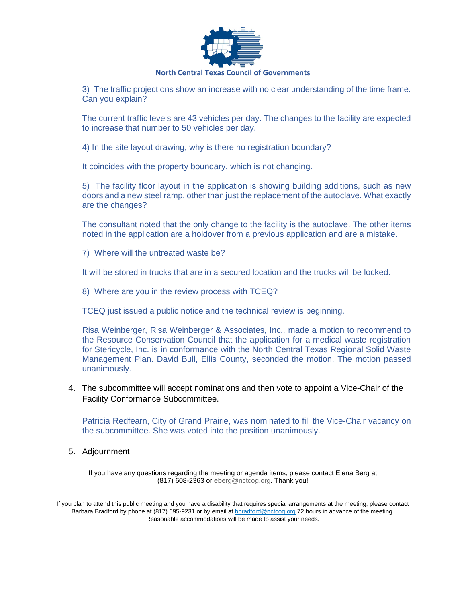

#### **North Central Texas Council of Governments**

3) The traffic projections show an increase with no clear understanding of the time frame. Can you explain?

The current traffic levels are 43 vehicles per day. The changes to the facility are expected to increase that number to 50 vehicles per day.

4) In the site layout drawing, why is there no registration boundary?

It coincides with the property boundary, which is not changing.

5) The facility floor layout in the application is showing building additions, such as new doors and a new steel ramp, other than just the replacement of the autoclave. What exactly are the changes?

The consultant noted that the only change to the facility is the autoclave. The other items noted in the application are a holdover from a previous application and are a mistake.

7) Where will the untreated waste be?

It will be stored in trucks that are in a secured location and the trucks will be locked.

8) Where are you in the review process with TCEQ?

TCEQ just issued a public notice and the technical review is beginning.

Risa Weinberger, Risa Weinberger & Associates, Inc., made a motion to recommend to the Resource Conservation Council that the application for a medical waste registration for Stericycle, Inc. is in conformance with the North Central Texas Regional Solid Waste Management Plan. David Bull, Ellis County, seconded the motion. The motion passed unanimously.

4. The subcommittee will accept nominations and then vote to appoint a Vice-Chair of the Facility Conformance Subcommittee.

Patricia Redfearn, City of Grand Prairie, was nominated to fill the Vice-Chair vacancy on the subcommittee. She was voted into the position unanimously.

5. Adjournment

If you have any questions regarding the meeting or agenda items, please contact Elena Berg at (817) 608-2363 or [eberg@nctcog.org.](mailto:eberg@nctcog.org) Thank you!

If you plan to attend this public meeting and you have a disability that requires special arrangements at the meeting, please contact Barbara Bradford by phone at (817) 695-9231 or by email at **bbradford@nctcog.org 72** hours in advance of the meeting. Reasonable accommodations will be made to assist your needs.